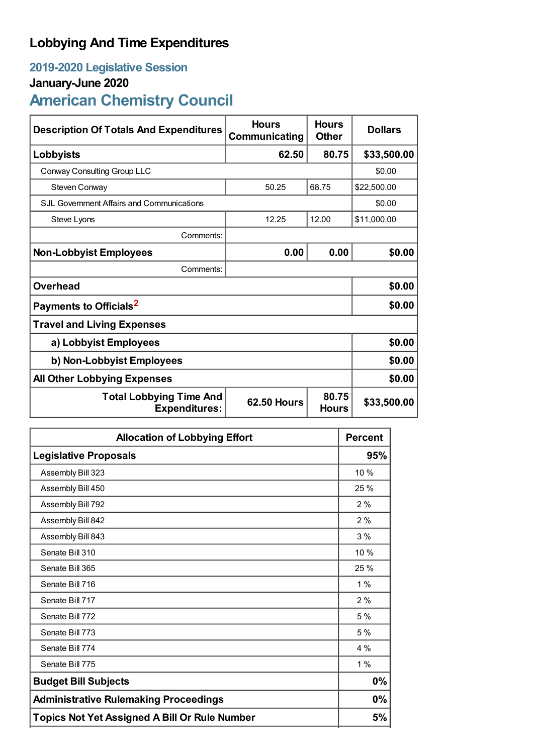## **Lobbying And Time Expenditures**

## **2019-2020 Legislative Session**

## **January-June 2020**

# **American Chemistry Council**

| <b>Description Of Totals And Expenditures</b>          | <b>Hours</b><br>Communicating | <b>Hours</b><br><b>Other</b> | <b>Dollars</b> |
|--------------------------------------------------------|-------------------------------|------------------------------|----------------|
| Lobbyists                                              | 62.50                         | 80.75                        | \$33,500.00    |
| Conway Consulting Group LLC                            |                               |                              | \$0.00         |
| Steven Conway                                          | 50.25                         | 68.75                        | \$22,500.00    |
| SJL Government Affairs and Communications              |                               | \$0.00                       |                |
| Steve Lyons                                            | 12.25                         | 12.00                        | \$11,000.00    |
| Comments:                                              |                               |                              |                |
| <b>Non-Lobbyist Employees</b>                          | 0.00                          | 0.00                         | \$0.00         |
| Comments:                                              |                               |                              |                |
| <b>Overhead</b>                                        |                               |                              | \$0.00         |
| Payments to Officials <sup>2</sup>                     |                               |                              | \$0.00         |
| <b>Travel and Living Expenses</b>                      |                               |                              |                |
| a) Lobbyist Employees                                  |                               |                              | \$0.00         |
| b) Non-Lobbyist Employees                              | \$0.00                        |                              |                |
| <b>All Other Lobbying Expenses</b>                     |                               |                              | \$0.00         |
| <b>Total Lobbying Time And</b><br><b>Expenditures:</b> | <b>62.50 Hours</b>            | 80.75<br><b>Hours</b>        | \$33,500.00    |

| <b>Allocation of Lobbying Effort</b>                 |      |
|------------------------------------------------------|------|
| <b>Legislative Proposals</b>                         | 95%  |
| Assembly Bill 323                                    | 10 % |
| Assembly Bill 450                                    | 25 % |
| Assembly Bill 792                                    | 2%   |
| Assembly Bill 842                                    | 2%   |
| Assembly Bill 843                                    | 3%   |
| Senate Bill 310                                      | 10 % |
| Senate Bill 365                                      | 25 % |
| Senate Bill 716                                      | 1%   |
| Senate Bill 717                                      | 2%   |
| Senate Bill 772                                      | 5%   |
| Senate Bill 773                                      | 5 %  |
| Senate Bill 774                                      | 4 %  |
| Senate Bill 775                                      | 1%   |
| <b>Budget Bill Subjects</b>                          |      |
| <b>Administrative Rulemaking Proceedings</b>         |      |
| <b>Topics Not Yet Assigned A Bill Or Rule Number</b> |      |